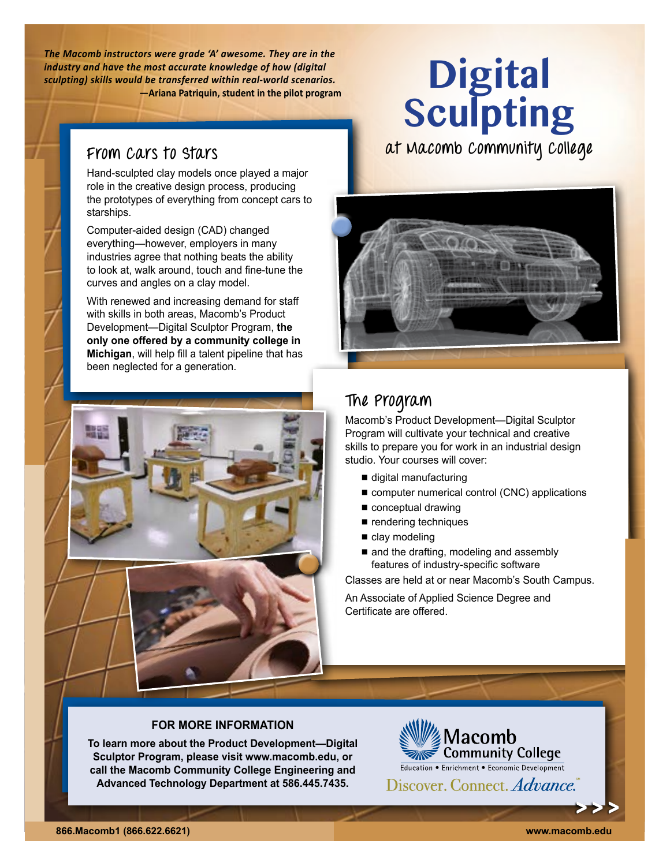*The Macomb instructors were grade 'A' awesome. They are in the industry and have the most accurate knowledge of how (digital sculpting) skills would be transferred within real-world scenarios.* **—Ariana Patriquin, student in the pilot program**

Hand-sculpted clay models once played a major role in the creative design process, producing the prototypes of everything from concept cars to starships.

Computer-aided design (CAD) changed everything—however, employers in many industries agree that nothing beats the ability to look at, walk around, touch and fine-tune the curves and angles on a clay model.

With renewed and increasing demand for staff with skills in both areas, Macomb's Product Development—Digital Sculptor Program, **the only one offered by a community college in Michigan**, will help fill a talent pipeline that has been neglected for a generation.





**at Macomb Community College From Cars to Stars**



# **The Program**

Macomb's Product Development—Digital Sculptor Program will cultivate your technical and creative skills to prepare you for work in an industrial design studio. Your courses will cover:

- digital manufacturing
- computer numerical control (CNC) applications
- conceptual drawing
- $\blacksquare$  rendering techniques
- $\blacksquare$  clay modeling
- and the drafting, modeling and assembly features of industry-specific software

Classes are held at or near Macomb's South Campus.

An Associate of Applied Science Degree and Certificate are offered.

### **FOR MORE INFORMATION**

**To learn more about the Product Development—Digital Sculptor Program, please visit [www.macomb.edu](http://www.macomb.edu), or call the Macomb Community College Engineering and Advanced Technology Department at 586.445.7435.**